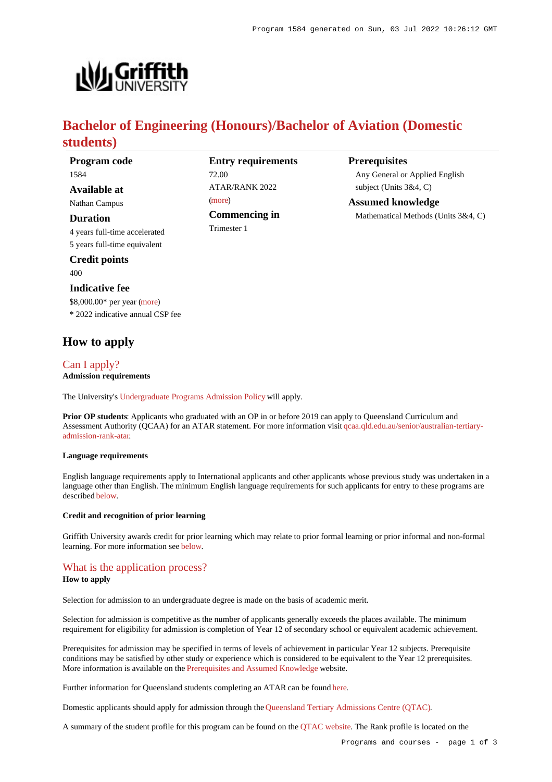**Prerequisites**

Any General or Applied English

Mathematical Methods (Units 3&4, C)

subject (Units 3&4, C) **Assumed knowledge**



# **Bachelor of Engineering (Honours)/Bachelor of Aviation (Domestic students)**

| Program code                     | <b>Entry requirements</b> |
|----------------------------------|---------------------------|
| 1584                             | 72.00                     |
| Available at                     | ATAR/RANK 2022<br>(more)  |
| Nathan Campus                    |                           |
| Duration                         | Commencing in             |
| 4 years full-time accelerated    | Trimester 1               |
| 5 years full-time equivalent     |                           |
| <b>Credit points</b>             |                           |
| 400                              |                           |
| <b>Indicative fee</b>            |                           |
| $$8,000.00*$ per year (more)     |                           |
| * 2022 indicative annual CSP fee |                           |

# **How to apply**

## [Can I apply?](https://www148.griffith.edu.au/programs-courses/Program/1584/HowToApply/Domestic#can-i-apply) **Admission requirements**

The University's [Undergraduate Programs Admission Policy](https://sharepointpubstor.blob.core.windows.net/policylibrary-prod/Undergraduate Programs Admission Policy.pdf) will apply.

**Prior OP students**: Applicants who graduated with an OP in or before 2019 can apply to Queensland Curriculum and Assessment Authority (QCAA) for an ATAR statement. For more information visit [qcaa.qld.edu.au/senior/australian-tertiary](http://qcaa.qld.edu.au/senior/australian-tertiary-admission-rank-atar)[admission-rank-atar](http://qcaa.qld.edu.au/senior/australian-tertiary-admission-rank-atar).

#### **Language requirements**

English language requirements apply to International applicants and other applicants whose previous study was undertaken in a language other than English. The minimum English language requirements for such applicants for entry to these programs are described [below](https://www148.griffith.edu.au/programs-courses/Program/1584/HowToApply/Domestic#language).

### **Credit and recognition of prior learning**

Griffith University awards credit for prior learning which may relate to prior formal learning or prior informal and non-formal learning. For more information see [below](https://www148.griffith.edu.au/programs-courses/Program/1584/HowToApply/Domestic#credit).

### [What is the application process?](https://www148.griffith.edu.au/programs-courses/Program/1584/HowToApply/Domestic#process)

### **How to apply**

Selection for admission to an undergraduate degree is made on the basis of academic merit.

Selection for admission is competitive as the number of applicants generally exceeds the places available. The minimum requirement for eligibility for admission is completion of Year 12 of secondary school or equivalent academic achievement.

Prerequisites for admission may be specified in terms of levels of achievement in particular Year 12 subjects. Prerequisite conditions may be satisfied by other study or experience which is considered to be equivalent to the Year 12 prerequisites. More information is available on the [Prerequisites and Assumed Knowledge](https://www.griffith.edu.au/apply/prerequisites-assumed-knowledge) website.

Further information for Queensland students completing an ATAR can be found [here](https://www.griffith.edu.au/apply/undergraduate-study/high-school-students/admission-in-2021).

Domestic applicants should apply for admission through the [Queensland Tertiary Admissions Centre \(QTAC\)](http://www.qtac.edu.au/).

A summary of the student profile for this program can be found on the [QTAC website](https://www.qtac.edu.au/courses/listing/bachelor-of-engineering-honours-bachelor-of-aviation-229251/). The Rank profile is located on the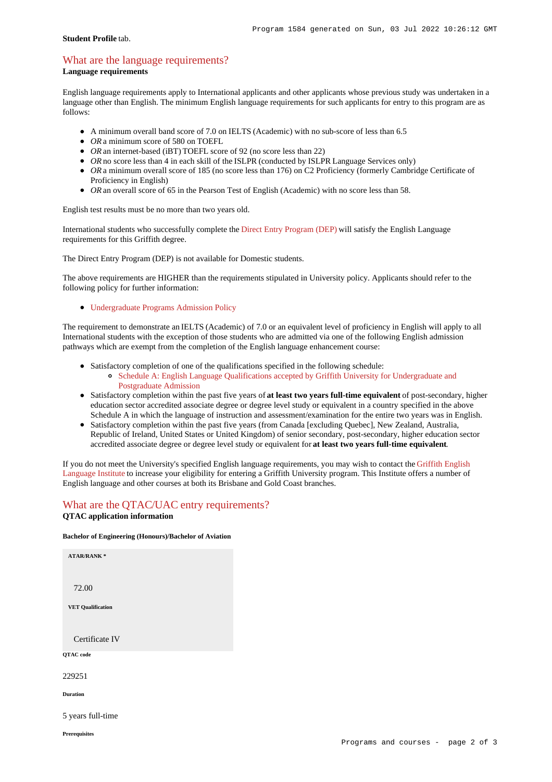### **Student Profile** tab.

# [What are the language requirements?](https://www148.griffith.edu.au/programs-courses/Program/1584/HowToApply/Domestic#language)

**Language requirements**

English language requirements apply to International applicants and other applicants whose previous study was undertaken in a language other than English. The minimum English language requirements for such applicants for entry to this program are as follows:

- A minimum overall band score of 7.0 on IELTS (Academic) with no sub-score of less than 6.5
- *OR* a minimum score of 580 on TOEFL
- *OR* an internet-based (iBT) TOEFL score of 92 (no score less than 22)
- OR no score less than 4 in each skill of the ISLPR (conducted by ISLPR Language Services only)
- OR a minimum overall score of 185 (no score less than 176) on C2 Proficiency (formerly Cambridge Certificate of Proficiency in English)
- *OR* an overall score of 65 in the Pearson Test of English (Academic) with no score less than 58.

English test results must be no more than two years old.

International students who successfully complete the [Direct Entry Program \(DEP\)](https://www.griffith.edu.au/international/griffith-english-language-institute/courses/direct-entry-program) will satisfy the English Language requirements for this Griffith degree.

The Direct Entry Program (DEP) is not available for Domestic students.

The above requirements are HIGHER than the requirements stipulated in University policy. Applicants should refer to the following policy for further information:

[Undergraduate Programs Admission Policy](http://policies.griffith.edu.au/pdf/Undergraduate Programs Admission Policy.pdf)

The requirement to demonstrate an IELTS (Academic) of 7.0 or an equivalent level of proficiency in English will apply to all International students with the exception of those students who are admitted via one of the following English admission pathways which are exempt from the completion of the English language enhancement course:

- Satisfactory completion of one of the qualifications specified in the following schedule: [Schedule A: English Language Qualifications accepted by Griffith University for Undergraduate and](https://policies.griffith.edu.au/pdf/Admission-Policy-Schedule-A.pdf)
	- [Postgraduate Admission](https://policies.griffith.edu.au/pdf/Admission-Policy-Schedule-A.pdf)
- Satisfactory completion within the past five years of **at least two years full-time equivalent** of post-secondary, higher education sector accredited associate degree or degree level study or equivalent in a country specified in the above Schedule A in which the language of instruction and assessment/examination for the entire two years was in English.
- Satisfactory completion within the past five years (from Canada [excluding Quebec], New Zealand, Australia, Republic of Ireland, United States or United Kingdom) of senior secondary, post-secondary, higher education sector accredited associate degree or degree level study or equivalent for **at least two years full-time equivalent**.

If you do not meet the University's specified English language requirements, you may wish to contact the [Griffith English](https://www.griffith.edu.au/international/griffith-english-language-institute) [Language Institute](https://www.griffith.edu.au/international/griffith-english-language-institute) to increase your eligibility for entering a Griffith University program. This Institute offers a number of English language and other courses at both its Brisbane and Gold Coast branches.

## What are the OTAC/UAC entry requirements? **QTAC application information**

### **Bachelor of Engineering (Honours)/Bachelor of Aviation**

**ATAR/RANK \*** 72.00 **VET Qualification** Certificate IV **QTAC code** 229251 **Duration**

5 years full-time

**Prerequisites**